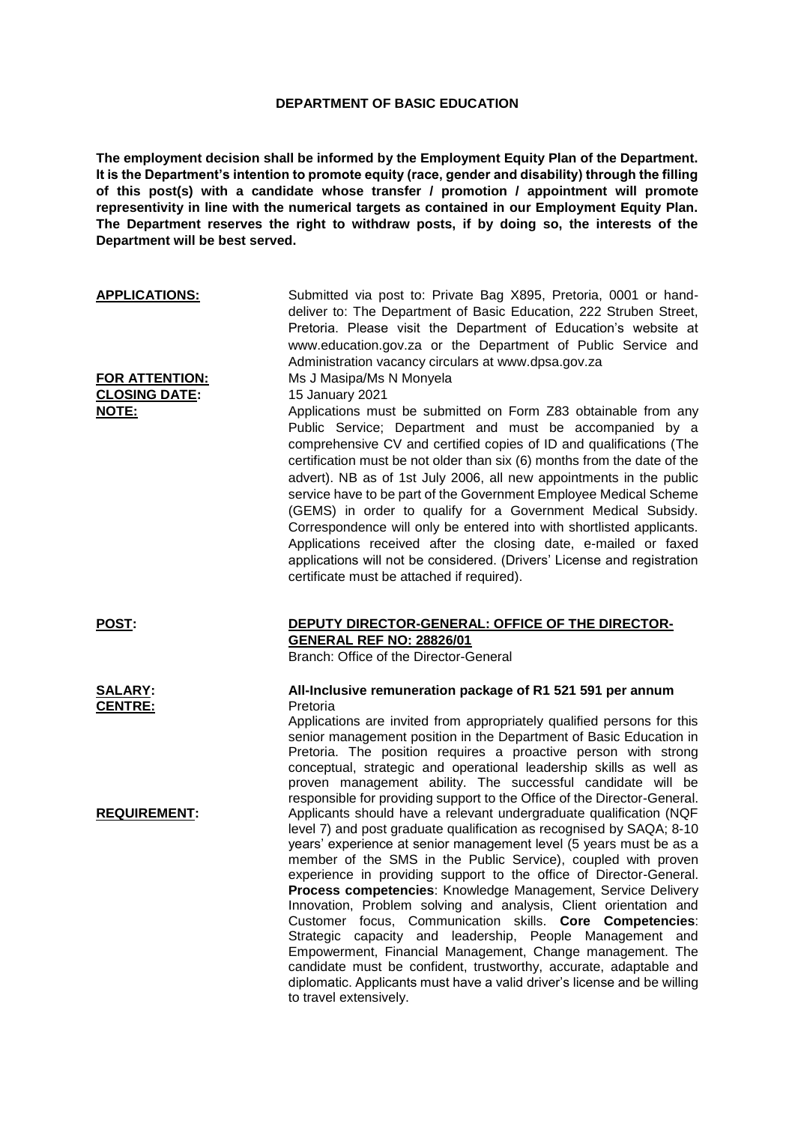## **DEPARTMENT OF BASIC EDUCATION**

**The employment decision shall be informed by the Employment Equity Plan of the Department. It is the Department's intention to promote equity (race, gender and disability) through the filling of this post(s) with a candidate whose transfer / promotion / appointment will promote representivity in line with the numerical targets as contained in our Employment Equity Plan. The Department reserves the right to withdraw posts, if by doing so, the interests of the Department will be best served.**

| <b>APPLICATIONS:</b>                   | Submitted via post to: Private Bag X895, Pretoria, 0001 or hand-<br>deliver to: The Department of Basic Education, 222 Struben Street,<br>Pretoria. Please visit the Department of Education's website at<br>www.education.gov.za or the Department of Public Service and<br>Administration vacancy circulars at www.dpsa.gov.za                                                                                                                                                                                                                                                                                                                                                                                                                                                                                                                                         |
|----------------------------------------|--------------------------------------------------------------------------------------------------------------------------------------------------------------------------------------------------------------------------------------------------------------------------------------------------------------------------------------------------------------------------------------------------------------------------------------------------------------------------------------------------------------------------------------------------------------------------------------------------------------------------------------------------------------------------------------------------------------------------------------------------------------------------------------------------------------------------------------------------------------------------|
| FOR ATTENTION:<br><b>CLOSING DATE:</b> | Ms J Masipa/Ms N Monyela<br>15 January 2021                                                                                                                                                                                                                                                                                                                                                                                                                                                                                                                                                                                                                                                                                                                                                                                                                              |
| NOTE:                                  | Applications must be submitted on Form Z83 obtainable from any<br>Public Service; Department and must be accompanied by a<br>comprehensive CV and certified copies of ID and qualifications (The<br>certification must be not older than six (6) months from the date of the<br>advert). NB as of 1st July 2006, all new appointments in the public<br>service have to be part of the Government Employee Medical Scheme<br>(GEMS) in order to qualify for a Government Medical Subsidy.<br>Correspondence will only be entered into with shortlisted applicants.<br>Applications received after the closing date, e-mailed or faxed<br>applications will not be considered. (Drivers' License and registration<br>certificate must be attached if required).                                                                                                            |
| POST:                                  | DEPUTY DIRECTOR-GENERAL: OFFICE OF THE DIRECTOR-<br><b>GENERAL REF NO: 28826/01</b><br>Branch: Office of the Director-General                                                                                                                                                                                                                                                                                                                                                                                                                                                                                                                                                                                                                                                                                                                                            |
| <b>SALARY:</b><br><b>CENTRE:</b>       | All-Inclusive remuneration package of R1 521 591 per annum<br>Pretoria<br>Applications are invited from appropriately qualified persons for this<br>senior management position in the Department of Basic Education in<br>Pretoria. The position requires a proactive person with strong<br>conceptual, strategic and operational leadership skills as well as<br>proven management ability. The successful candidate will be<br>responsible for providing support to the Office of the Director-General.                                                                                                                                                                                                                                                                                                                                                                |
| <b>REQUIREMENT:</b>                    | Applicants should have a relevant undergraduate qualification (NQF<br>level 7) and post graduate qualification as recognised by SAQA; 8-10<br>years' experience at senior management level (5 years must be as a<br>member of the SMS in the Public Service), coupled with proven<br>experience in providing support to the office of Director-General.<br><b>Process competencies:</b> Knowledge Management, Service Delivery<br>Innovation, Problem solving and analysis, Client orientation and<br>Customer focus, Communication skills. Core Competencies:<br>Strategic<br>capacity and leadership, People Management<br>and<br>Empowerment, Financial Management, Change management. The<br>candidate must be confident, trustworthy, accurate, adaptable and<br>diplomatic. Applicants must have a valid driver's license and be willing<br>to travel extensively. |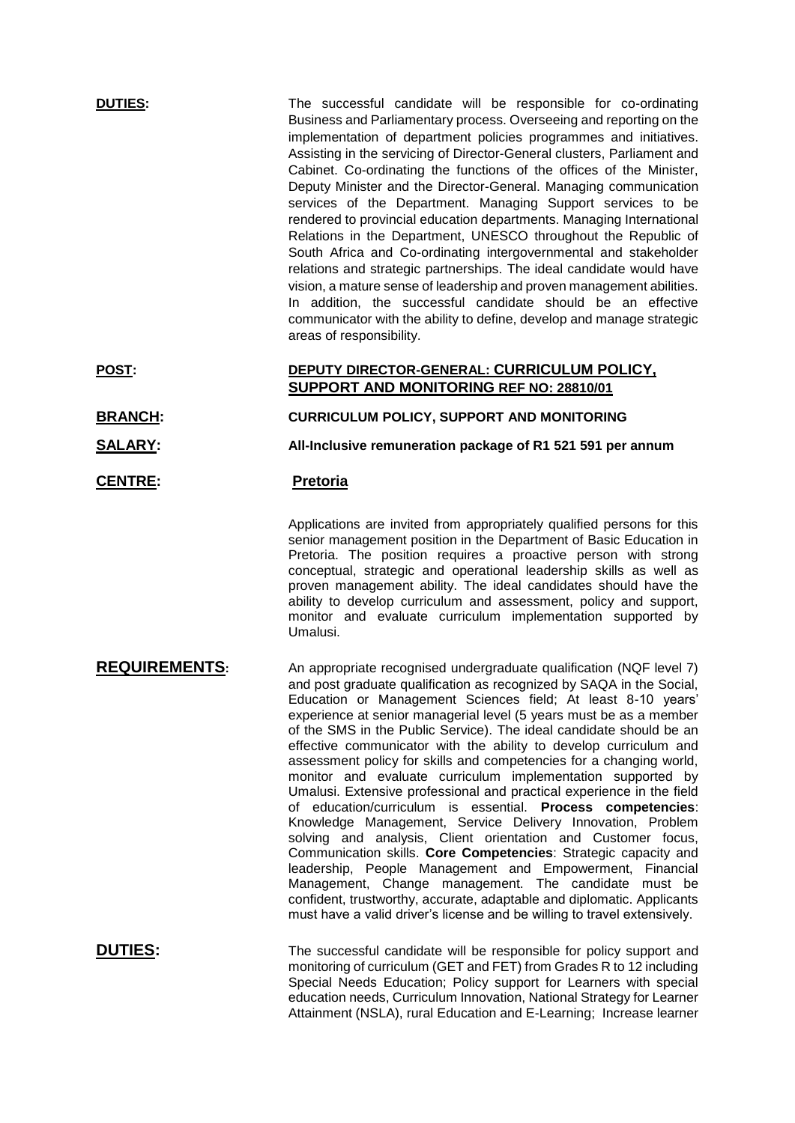| <b>DUTIES:</b>       | The successful candidate will be responsible for co-ordinating<br>Business and Parliamentary process. Overseeing and reporting on the<br>implementation of department policies programmes and initiatives.<br>Assisting in the servicing of Director-General clusters, Parliament and<br>Cabinet. Co-ordinating the functions of the offices of the Minister,<br>Deputy Minister and the Director-General. Managing communication<br>services of the Department. Managing Support services to be<br>rendered to provincial education departments. Managing International<br>Relations in the Department, UNESCO throughout the Republic of<br>South Africa and Co-ordinating intergovernmental and stakeholder<br>relations and strategic partnerships. The ideal candidate would have<br>vision, a mature sense of leadership and proven management abilities.<br>In addition, the successful candidate should be an effective<br>communicator with the ability to define, develop and manage strategic<br>areas of responsibility.                                                                                                                                                   |
|----------------------|----------------------------------------------------------------------------------------------------------------------------------------------------------------------------------------------------------------------------------------------------------------------------------------------------------------------------------------------------------------------------------------------------------------------------------------------------------------------------------------------------------------------------------------------------------------------------------------------------------------------------------------------------------------------------------------------------------------------------------------------------------------------------------------------------------------------------------------------------------------------------------------------------------------------------------------------------------------------------------------------------------------------------------------------------------------------------------------------------------------------------------------------------------------------------------------|
| <b>POST:</b>         | DEPUTY DIRECTOR-GENERAL: CURRICULUM POLICY,<br>SUPPORT AND MONITORING REF NO: 28810/01                                                                                                                                                                                                                                                                                                                                                                                                                                                                                                                                                                                                                                                                                                                                                                                                                                                                                                                                                                                                                                                                                                 |
| <b>BRANCH:</b>       | CURRICULUM POLICY, SUPPORT AND MONITORING                                                                                                                                                                                                                                                                                                                                                                                                                                                                                                                                                                                                                                                                                                                                                                                                                                                                                                                                                                                                                                                                                                                                              |
| <b>SALARY:</b>       | All-Inclusive remuneration package of R1 521 591 per annum                                                                                                                                                                                                                                                                                                                                                                                                                                                                                                                                                                                                                                                                                                                                                                                                                                                                                                                                                                                                                                                                                                                             |
| <b>CENTRE:</b>       | <b>Pretoria</b>                                                                                                                                                                                                                                                                                                                                                                                                                                                                                                                                                                                                                                                                                                                                                                                                                                                                                                                                                                                                                                                                                                                                                                        |
|                      | Applications are invited from appropriately qualified persons for this<br>senior management position in the Department of Basic Education in<br>Pretoria. The position requires a proactive person with strong<br>conceptual, strategic and operational leadership skills as well as<br>proven management ability. The ideal candidates should have the<br>ability to develop curriculum and assessment, policy and support,<br>monitor and evaluate curriculum implementation supported by<br>Umalusi.                                                                                                                                                                                                                                                                                                                                                                                                                                                                                                                                                                                                                                                                                |
| <b>REQUIREMENTS:</b> | An appropriate recognised undergraduate qualification (NQF level 7)<br>and post graduate qualification as recognized by SAQA in the Social,<br>Education or Management Sciences field; At least 8-10 years'<br>experience at senior managerial level (5 years must be as a member<br>of the SMS in the Public Service). The ideal candidate should be an<br>effective communicator with the ability to develop curriculum and<br>assessment policy for skills and competencies for a changing world,<br>monitor and evaluate curriculum implementation supported by<br>Umalusi. Extensive professional and practical experience in the field<br>of education/curriculum is essential. Process competencies:<br>Knowledge Management, Service Delivery Innovation, Problem<br>solving and analysis, Client orientation and Customer focus,<br>Communication skills. Core Competencies: Strategic capacity and<br>leadership, People Management and Empowerment, Financial<br>Management, Change management. The candidate must be<br>confident, trustworthy, accurate, adaptable and diplomatic. Applicants<br>must have a valid driver's license and be willing to travel extensively. |
| DUTIFS:              | The successful candidate will be responsible for policy support and                                                                                                                                                                                                                                                                                                                                                                                                                                                                                                                                                                                                                                                                                                                                                                                                                                                                                                                                                                                                                                                                                                                    |

**DUTIES:** The successful candidate will be responsible for policy support and monitoring of curriculum (GET and FET) from Grades R to 12 including Special Needs Education; Policy support for Learners with special education needs, Curriculum Innovation, National Strategy for Learner Attainment (NSLA), rural Education and E-Learning; Increase learner